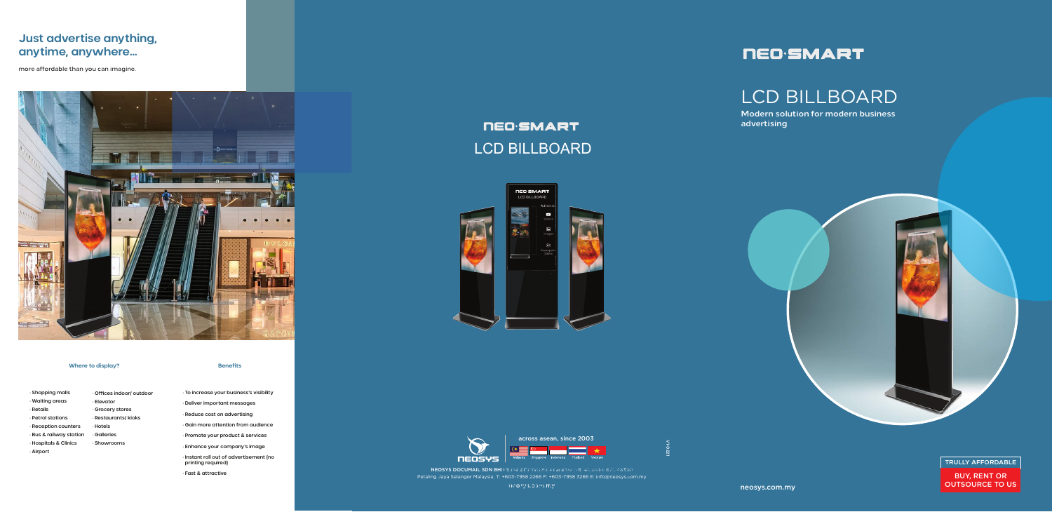neosys.com.my

### **Where to display?**

· Shopping malls · Waiting areas · Retails · Petrol stations · Reception counters · Bus & railway station · Hospitals & Clinics · Airport · Offices indoor/ outdoor · Elevator · Grocery stores · Restaurants/ kioks · Hotels · Galleries · Showrooms

### **Benefits**

**NEOSYS DOCUMAIL SDN BH**D Suite 2.07 Wisma Academy Lot 4A Jalan 1971, 46300<br>Religious Selencer Melevisie, Tu-607, 7059, 2266 Fu-607, 7059, 7266 Fu-1600peervisie, 20 Petaling Jaya Selangor Malaysia. T: +603-7958 2266 F: +603-7958 3266 E: info@neosys.com.my neosys.com.my **anytime, anywhere...**

# **NED**·SMART

- · To increase your business's visibility · Deliver important messages · Reduce cost on advertising
- · Gain more attention from audience
- · Promote your product & services
- · Enhance your company's image
- · Instant roll out of advertisement (no printing required)

· Fast & attractive

# **NED**·SMART LCD BILLBOARD





across asean, since 2003

**Modern solution for modern business advertising**



**TRULLY AFFORDABLE**

BUY, RENT OR OUTSOURCE TO US

# LCD BILLBOARD



## **Just advertise anything, anytime, anywhere...**

more affordable than you can imagine.